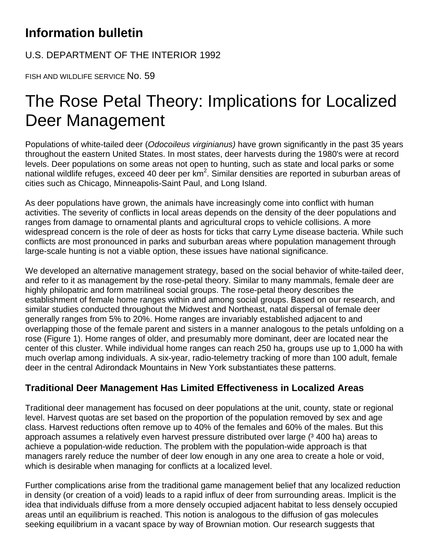## **Information bulletin**

U.S. DEPARTMENT OF THE INTERIOR 1992

FISH AND WILDLIFE SERVICE No. 59

## The Rose Petal Theory: Implications for Localized Deer Management

Populations of white-tailed deer (*Odocoileus virginianus)* have grown significantly in the past 35 years throughout the eastern United States. In most states, deer harvests during the 1980's were at record levels. Deer populations on some areas not open to hunting, such as state and local parks or some national wildlife refuges, exceed 40 deer per  $km^2$ . Similar densities are reported in suburban areas of cities such as Chicago, Minneapolis-Saint Paul, and Long Island.

As deer populations have grown, the animals have increasingly come into conflict with human activities. The severity of conflicts in local areas depends on the density of the deer populations and ranges from damage to ornamental plants and agricultural crops to vehicle collisions. A more widespread concern is the role of deer as hosts for ticks that carry Lyme disease bacteria. While such conflicts are most pronounced in parks and suburban areas where population management through large-scale hunting is not a viable option, these issues have national significance.

We developed an alternative management strategy, based on the social behavior of white-tailed deer, and refer to it as management by the rose-petal theory. Similar to many mammals, female deer are highly philopatric and form matrilineal social groups. The rose-petal theory describes the establishment of female home ranges within and among social groups. Based on our research, and similar studies conducted throughout the Midwest and Northeast, natal dispersal of female deer generally ranges from 5% to 20%. Home ranges are invariably established adjacent to and overlapping those of the female parent and sisters in a manner analogous to the petals unfolding on a rose (Figure 1). Home ranges of older, and presumably more dominant, deer are located near the center of this cluster. While individual home ranges can reach 250 ha, groups use up to 1,000 ha with much overlap among individuals. A six-year, radio-telemetry tracking of more than 100 adult, female deer in the central Adirondack Mountains in New York substantiates these patterns.

## **Traditional Deer Management Has Limited Effectiveness in Localized Areas**

Traditional deer management has focused on deer populations at the unit, county, state or regional level. Harvest quotas are set based on the proportion of the population removed by sex and age class. Harvest reductions often remove up to 40% of the females and 60% of the males. But this approach assumes a relatively even harvest pressure distributed over large (3 400 ha) areas to achieve a population-wide reduction. The problem with the population-wide approach is that managers rarely reduce the number of deer low enough in any one area to create a hole or void, which is desirable when managing for conflicts at a localized level.

Further complications arise from the traditional game management belief that any localized reduction in density (or creation of a void) leads to a rapid influx of deer from surrounding areas. Implicit is the idea that individuals diffuse from a more densely occupied adjacent habitat to less densely occupied areas until an equilibrium is reached. This notion is analogous to the diffusion of gas molecules seeking equilibrium in a vacant space by way of Brownian motion. Our research suggests that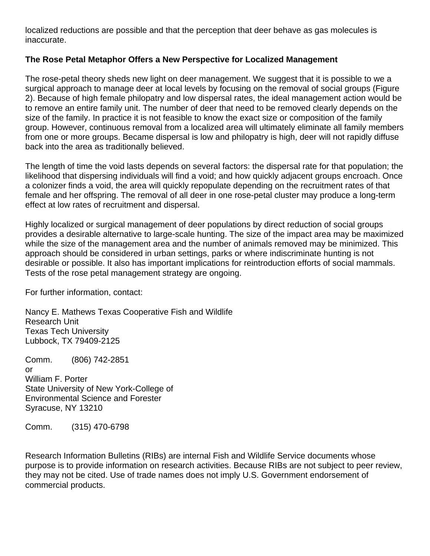localized reductions are possible and that the perception that deer behave as gas molecules is inaccurate.

## **The Rose Petal Metaphor Offers a New Perspective for Localized Management**

The rose-petal theory sheds new light on deer management. We suggest that it is possible to we a surgical approach to manage deer at local levels by focusing on the removal of social groups (Figure 2). Because of high female philopatry and low dispersal rates, the ideal management action would be to remove an entire family unit. The number of deer that need to be removed clearly depends on the size of the family. In practice it is not feasible to know the exact size or composition of the family group. However, continuous removal from a localized area will ultimately eliminate all family members from one or more groups. Became dispersal is low and philopatry is high, deer will not rapidly diffuse back into the area as traditionally believed.

The length of time the void lasts depends on several factors: the dispersal rate for that population; the likelihood that dispersing individuals will find a void; and how quickly adjacent groups encroach. Once a colonizer finds a void, the area will quickly repopulate depending on the recruitment rates of that female and her offspring. The removal of all deer in one rose-petal cluster may produce a long-term effect at low rates of recruitment and dispersal.

Highly localized or surgical management of deer populations by direct reduction of social groups provides a desirable alternative to large-scale hunting. The size of the impact area may be maximized while the size of the management area and the number of animals removed may be minimized. This approach should be considered in urban settings, parks or where indiscriminate hunting is not desirable or possible. It also has important implications for reintroduction efforts of social mammals. Tests of the rose petal management strategy are ongoing.

For further information, contact:

Nancy E. Mathews Texas Cooperative Fish and Wildlife Research Unit Texas Tech University Lubbock, TX 79409-2125

Comm. (806) 742-2851 or William F. Porter State University of New York-College of Environmental Science and Forester Syracuse, NY 13210

Comm. (315) 470-6798

Research Information Bulletins (RIBs) are internal Fish and Wildlife Service documents whose purpose is to provide information on research activities. Because RIBs are not subject to peer review, they may not be cited. Use of trade names does not imply U.S. Government endorsement of commercial products.